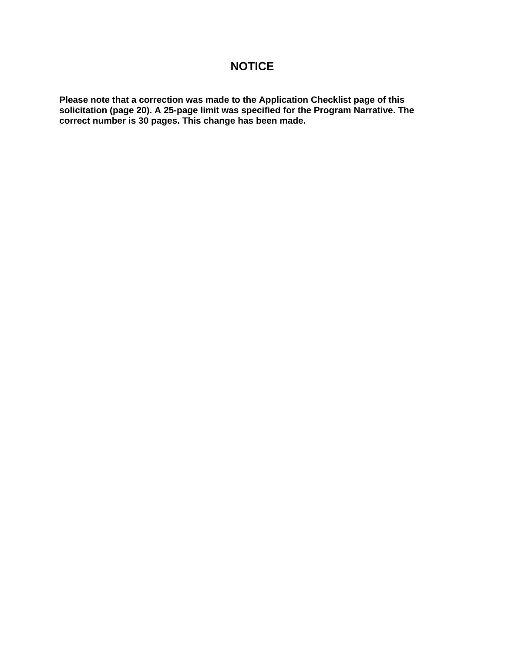# **NOTICE**

**Please note that a correction was made to the Application Checklist page of this solicitation (page 20). A 25-page limit was specified for the Program Narrative. The correct number is 30 pages. This change has been made.**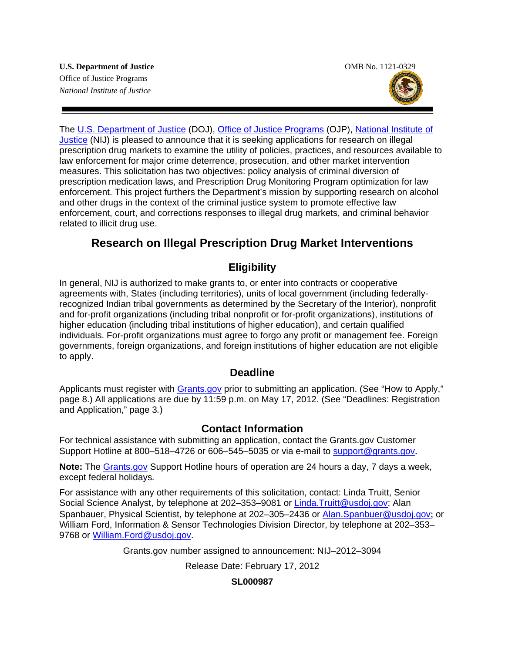

The [U.S. Department of Justice](http://www.usdoj.gov/) (DOJ), [Office of Justice Programs](http://www.ojp.gov/flash.htm) (OJP), [National Institute of](http://www.nij.gov/)  [Justice](http://www.nij.gov/) (NIJ) is pleased to announce that it is seeking applications for research on illegal prescription drug markets to examine the utility of policies, practices, and resources available to law enforcement for major crime deterrence, prosecution, and other market intervention measures. This solicitation has two objectives: policy analysis of criminal diversion of prescription medication laws, and Prescription Drug Monitoring Program optimization for law enforcement. This project furthers the Department's mission by supporting research on alcohol and other drugs in the context of the criminal justice system to promote effective law enforcement, court, and corrections responses to illegal drug markets, and criminal behavior related to illicit drug use.

## **Research on Illegal Prescription Drug Market Interventions**

### **Eligibility**

In general, NIJ is authorized to make grants to, or enter into contracts or cooperative agreements with, States (including territories), units of local government (including federallyrecognized Indian tribal governments as determined by the Secretary of the Interior), nonprofit and for-profit organizations (including tribal nonprofit or for-profit organizations), institutions of higher education (including tribal institutions of higher education), and certain qualified individuals. For-profit organizations must agree to forgo any profit or management fee. Foreign governments, foreign organizations, and foreign institutions of higher education are not eligible to apply.

### **Deadline**

Applicants must register with [Grants.gov](http://www.grants.gov/applicants/apply_for_grants.jsp) prior to submitting an application. (See "How to Apply," page 8.) All applications are due by 11:59 p.m. on May 17, 2012*.* (See "Deadlines: Registration and Application," page 3*.*)

### **Contact Information**

For technical assistance with submitting an application, contact the Grants.gov Customer Support Hotline at 800–518–4726 or 606–545–5035 or via e-mail to [support@grants.gov](mailto:support@grants.gov).

**Note:** The [Grants.gov](http://www.grants.gov/applicants/apply_for_grants.jsp) Support Hotline hours of operation are 24 hours a day, 7 days a week, except federal holidays*.*

For assistance with any other requirements of this solicitation, contact: Linda Truitt, Senior Social Science Analyst, by telephone at 202-353-9081 or [Linda.Truitt@usdoj.gov](mailto:Linda.Truitt@usdoj.gov); Alan Spanbauer, Physical Scientist, by telephone at 202-305-2436 or [Alan.Spanbuer@usdoj.gov](mailto:Alan.Spanbuer@usdoj.gov); or William Ford, Information & Sensor Technologies Division Director, by telephone at 202–353– 9768 or [William.Ford@usdoj.gov.](mailto:William.Ford@usdoj.gov)

Grants.gov number assigned to announcement: NIJ–2012–3094

Release Date: February 17, 2012

### **SL000987**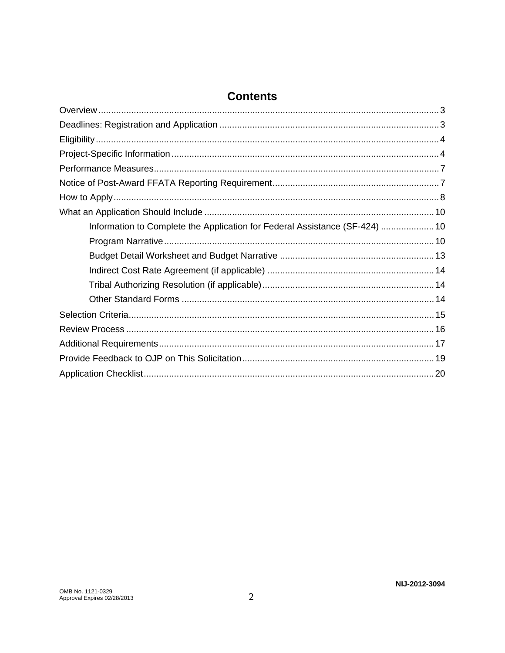### **Contents**

| Information to Complete the Application for Federal Assistance (SF-424)  10 |  |
|-----------------------------------------------------------------------------|--|
|                                                                             |  |
|                                                                             |  |
|                                                                             |  |
|                                                                             |  |
|                                                                             |  |
|                                                                             |  |
|                                                                             |  |
|                                                                             |  |
|                                                                             |  |
|                                                                             |  |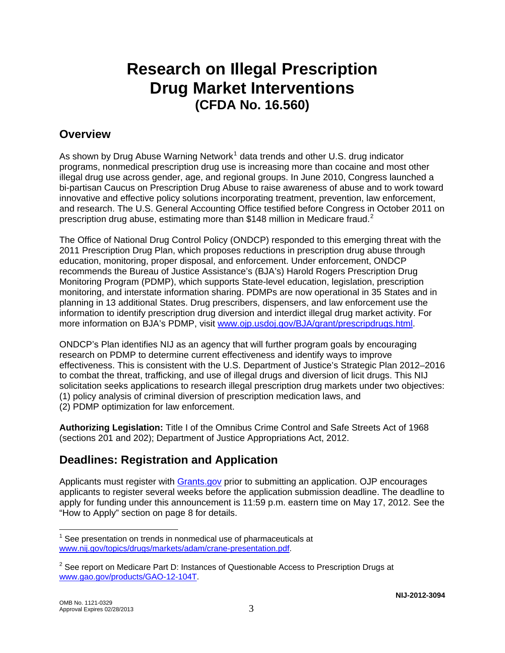# **Research on Illegal Prescription Drug Market Interventions (CFDA No. 16.560)**

### **Overview**

As shown by Drug Abuse Warning Network<sup>[1](#page-3-0)</sup> data trends and other U.S. drug indicator programs, nonmedical prescription drug use is increasing more than cocaine and most other illegal drug use across gender, age, and regional groups. In June 2010, Congress launched a bi-partisan Caucus on Prescription Drug Abuse to raise awareness of abuse and to work toward innovative and effective policy solutions incorporating treatment, prevention, law enforcement, and research. The U.S. General Accounting Office testified before Congress in October 2011 on prescription drug abuse, estimating more than \$148 million in Medicare fraud.<sup>[2](#page-3-1)</sup>

The Office of National Drug Control Policy (ONDCP) responded to this emerging threat with the 2011 Prescription Drug Plan, which proposes reductions in prescription drug abuse through education, monitoring, proper disposal, and enforcement. Under enforcement, ONDCP recommends the Bureau of Justice Assistance's (BJA's) Harold Rogers Prescription Drug Monitoring Program (PDMP), which supports State-level education, legislation, prescription monitoring, and interstate information sharing. PDMPs are now operational in 35 States and in planning in 13 additional States. Drug prescribers, dispensers, and law enforcement use the information to identify prescription drug diversion and interdict illegal drug market activity. For more information on BJA's PDMP, visit [www.ojp.usdoj.gov/BJA/grant/prescripdrugs.html](http://www.ojp.usdoj.gov/BJA/grant/prescripdrugs.html).

ONDCP's Plan identifies NIJ as an agency that will further program goals by encouraging research on PDMP to determine current effectiveness and identify ways to improve effectiveness. This is consistent with the U.S. Department of Justice's Strategic Plan 2012–2016 to combat the threat, trafficking, and use of illegal drugs and diversion of licit drugs. This NIJ solicitation seeks applications to research illegal prescription drug markets under two objectives: (1) policy analysis of criminal diversion of prescription medication laws, and

(2) PDMP optimization for law enforcement.

**Authorizing Legislation:** Title I of the Omnibus Crime Control and Safe Streets Act of 1968 (sections 201 and 202); Department of Justice Appropriations Act, 2012.

# **Deadlines: Registration and Application**

Applicants must register with [Grants.gov](http://www.grants.gov/) prior to submitting an application. OJP encourages applicants to register several weeks before the application submission deadline. The deadline to apply for funding under this announcement is 11:59 p.m. eastern time on May 17, 2012. See the "How to Apply" section on page 8 for details.

<span id="page-3-0"></span> $\overline{a}$  $1$  See presentation on trends in nonmedical use of pharmaceuticals at [www.nij.gov/topics/drugs/markets/adam/crane-presentation.pdf](http://www.nij.gov/topics/drugs/markets/adam/crane-presentation.pdf).

<span id="page-3-1"></span> $2$  See report on Medicare Part D: Instances of Questionable Access to Prescription Drugs at [www.gao.gov/products/GAO-12-104T.](http://www.gao.gov/products/GAO-12-104T)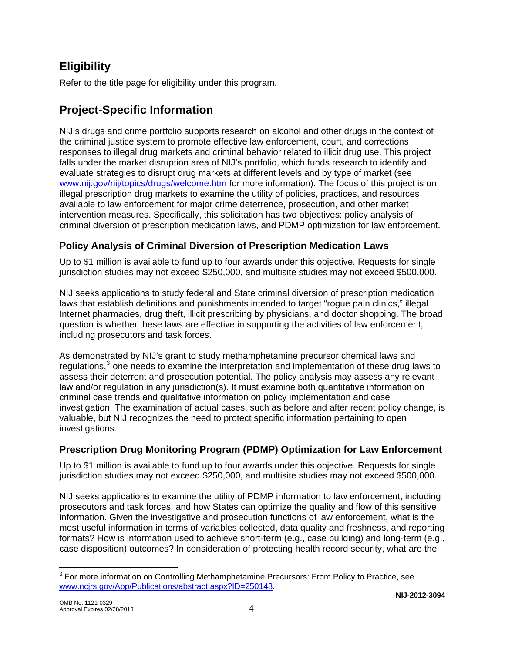# **Eligibility**

Refer to the title page for eligibility under this program.

# **Project-Specific Information**

NIJ's drugs and crime portfolio supports research on alcohol and other drugs in the context of the criminal justice system to promote effective law enforcement, court, and corrections responses to illegal drug markets and criminal behavior related to illicit drug use. This project falls under the market disruption area of NIJ's portfolio, which funds research to identify and evaluate strategies to disrupt drug markets at different levels and by type of market (see [www.nij.gov/nij/topics/drugs/welcome.htm](http://www.nij.gov/nij/topics/drugs/welcome.htm) for more information). The focus of this project is on illegal prescription drug markets to examine the utility of policies, practices, and resources available to law enforcement for major crime deterrence, prosecution, and other market intervention measures. Specifically, this solicitation has two objectives: policy analysis of criminal diversion of prescription medication laws, and PDMP optimization for law enforcement.

### **Policy Analysis of Criminal Diversion of Prescription Medication Laws**

Up to \$1 million is available to fund up to four awards under this objective. Requests for single jurisdiction studies may not exceed \$250,000, and multisite studies may not exceed \$500,000.

NIJ seeks applications to study federal and State criminal diversion of prescription medication laws that establish definitions and punishments intended to target "rogue pain clinics," illegal Internet pharmacies, drug theft, illicit prescribing by physicians, and doctor shopping. The broad question is whether these laws are effective in supporting the activities of law enforcement, including prosecutors and task forces.

As demonstrated by NIJ's grant to study methamphetamine precursor chemical laws and regulations, $3$  one needs to examine the interpretation and implementation of these drug laws to assess their deterrent and prosecution potential. The policy analysis may assess any relevant law and/or regulation in any jurisdiction(s). It must examine both quantitative information on criminal case trends and qualitative information on policy implementation and case investigation. The examination of actual cases, such as before and after recent policy change, is valuable, but NIJ recognizes the need to protect specific information pertaining to open investigations.

### **Prescription Drug Monitoring Program (PDMP) Optimization for Law Enforcement**

Up to \$1 million is available to fund up to four awards under this objective. Requests for single jurisdiction studies may not exceed \$250,000, and multisite studies may not exceed \$500,000.

NIJ seeks applications to examine the utility of PDMP information to law enforcement, including prosecutors and task forces, and how States can optimize the quality and flow of this sensitive information. Given the investigative and prosecution functions of law enforcement, what is the most useful information in terms of variables collected, data quality and freshness, and reporting formats? How is information used to achieve short-term (e.g., case building) and long-term (e.g., case disposition) outcomes? In consideration of protecting health record security, what are the

<span id="page-4-0"></span> $\overline{a}$  $3$  For more information on Controlling Methamphetamine Precursors: From Policy to Practice, see www.ncjrs.gov/App/Publications/abstract.aspx?ID=250148.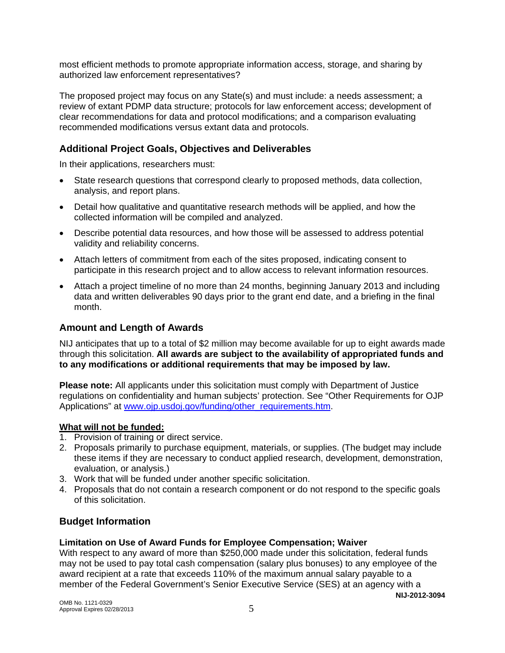most efficient methods to promote appropriate information access, storage, and sharing by authorized law enforcement representatives?

The proposed project may focus on any State(s) and must include: a needs assessment; a review of extant PDMP data structure; protocols for law enforcement access; development of clear recommendations for data and protocol modifications; and a comparison evaluating recommended modifications versus extant data and protocols.

### **Additional Project Goals, Objectives and Deliverables**

In their applications, researchers must:

- State research questions that correspond clearly to proposed methods, data collection, analysis, and report plans.
- Detail how qualitative and quantitative research methods will be applied, and how the collected information will be compiled and analyzed.
- Describe potential data resources, and how those will be assessed to address potential validity and reliability concerns.
- Attach letters of commitment from each of the sites proposed, indicating consent to participate in this research project and to allow access to relevant information resources.
- Attach a project timeline of no more than 24 months, beginning January 2013 and including data and written deliverables 90 days prior to the grant end date, and a briefing in the final month.

### **Amount and Length of Awards**

NIJ anticipates that up to a total of \$2 million may become available for up to eight awards made through this solicitation. **All awards are subject to the availability of appropriated funds and to any modifications or additional requirements that may be imposed by law.** 

**Please note:** All applicants under this solicitation must comply with Department of Justice regulations on confidentiality and human subjects' protection. See "Other Requirements for OJP Applications" at [www.ojp.usdoj.gov/funding/other\\_requirements.htm.](http://www.ojp.usdoj.gov/funding/other_requirements.htm)

### **What will not be funded:**

- 1. Provision of training or direct service.
- 2. Proposals primarily to purchase equipment, materials, or supplies. (The budget may include these items if they are necessary to conduct applied research, development, demonstration, evaluation, or analysis.)
- 3. Work that will be funded under another specific solicitation.
- 4. Proposals that do not contain a research component or do not respond to the specific goals of this solicitation.

### **Budget Information**

### **Limitation on Use of Award Funds for Employee Compensation; Waiver**

With respect to any award of more than \$250,000 made under this solicitation, federal funds may not be used to pay total cash compensation (salary plus bonuses) to any employee of the award recipient at a rate that exceeds 110% of the maximum annual salary payable to a member of the Federal Government's Senior Executive Service (SES) at an agency with a

**NIJ-2012-3094**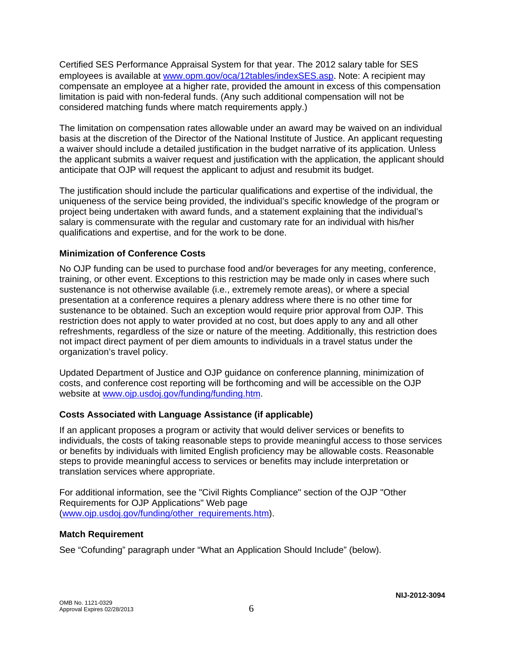Certified SES Performance Appraisal System for that year. The 2012 salary table for SES employees is available at [www.opm.gov/oca/12tables/indexSES.asp](http://www.opm.gov/oca/12tables/indexSES.asp). Note: A recipient may compensate an employee at a higher rate, provided the amount in excess of this compensation limitation is paid with non-federal funds. (Any such additional compensation will not be considered matching funds where match requirements apply.)

The limitation on compensation rates allowable under an award may be waived on an individual basis at the discretion of the Director of the National Institute of Justice. An applicant requesting a waiver should include a detailed justification in the budget narrative of its application. Unless the applicant submits a waiver request and justification with the application, the applicant should anticipate that OJP will request the applicant to adjust and resubmit its budget.

The justification should include the particular qualifications and expertise of the individual, the uniqueness of the service being provided, the individual's specific knowledge of the program or project being undertaken with award funds, and a statement explaining that the individual's salary is commensurate with the regular and customary rate for an individual with his/her qualifications and expertise, and for the work to be done.

### **Minimization of Conference Costs**

No OJP funding can be used to purchase food and/or beverages for any meeting, conference, training, or other event. Exceptions to this restriction may be made only in cases where such sustenance is not otherwise available (i.e., extremely remote areas), or where a special presentation at a conference requires a plenary address where there is no other time for sustenance to be obtained. Such an exception would require prior approval from OJP. This restriction does not apply to water provided at no cost, but does apply to any and all other refreshments, regardless of the size or nature of the meeting. Additionally, this restriction does not impact direct payment of per diem amounts to individuals in a travel status under the organization's travel policy.

Updated Department of Justice and OJP guidance on conference planning, minimization of costs, and conference cost reporting will be forthcoming and will be accessible on the OJP website at [www.ojp.usdoj.gov/funding/funding.htm.](http://www.ojp.usdoj.gov/funding/funding.htm)

### **Costs Associated with Language Assistance (if applicable)**

If an applicant proposes a program or activity that would deliver services or benefits to individuals, the costs of taking reasonable steps to provide meaningful access to those services or benefits by individuals with limited English proficiency may be allowable costs. Reasonable steps to provide meaningful access to services or benefits may include interpretation or translation services where appropriate.

For additional information, see the "Civil Rights Compliance" section of the OJP "Other Requirements for OJP Applications" Web page ([www.ojp.usdoj.gov/funding/other\\_requirements.htm](http://www.ojp.usdoj.gov/funding/other_requirements.htm)).

### **Match Requirement**

See "Cofunding" paragraph under "What an Application Should Include" (below).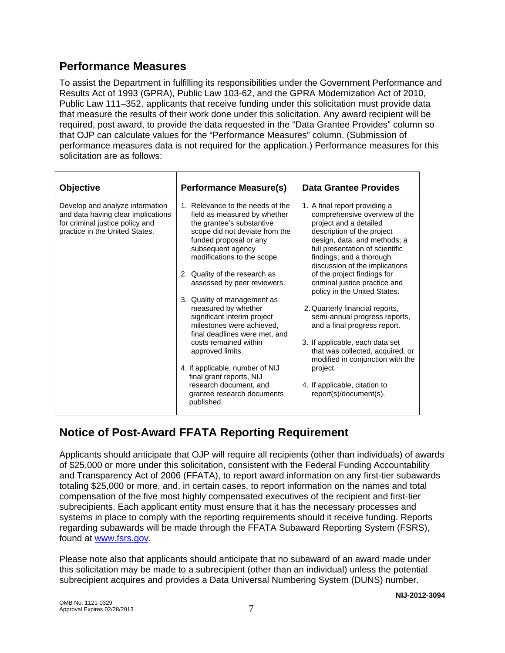### **Performance Measures**

To assist the Department in fulfilling its responsibilities under the Government Performance and Results Act of 1993 (GPRA), Public Law 103-62, and the GPRA Modernization Act of 2010, Public Law 111–352, applicants that receive funding under this solicitation must provide data that measure the results of their work done under this solicitation. Any award recipient will be required, post award, to provide the data requested in the "Data Grantee Provides" column so that OJP can calculate values for the "Performance Measures" column. (Submission of performance measures data is not required for the application.) Performance measures for this solicitation are as follows:

| <b>Objective</b><br><b>Performance Measure(s)</b>                                                                                          |                                                                                                                                                                                                                                                                                                                                                                                                                                                                                                                                                                                                                    | <b>Data Grantee Provides</b>                                                                                                                                                                                                                                                                                                                                                                                                                                                                                                                                                                                                                  |
|--------------------------------------------------------------------------------------------------------------------------------------------|--------------------------------------------------------------------------------------------------------------------------------------------------------------------------------------------------------------------------------------------------------------------------------------------------------------------------------------------------------------------------------------------------------------------------------------------------------------------------------------------------------------------------------------------------------------------------------------------------------------------|-----------------------------------------------------------------------------------------------------------------------------------------------------------------------------------------------------------------------------------------------------------------------------------------------------------------------------------------------------------------------------------------------------------------------------------------------------------------------------------------------------------------------------------------------------------------------------------------------------------------------------------------------|
| Develop and analyze information<br>and data having clear implications<br>for criminal justice policy and<br>practice in the United States. | 1. Relevance to the needs of the<br>field as measured by whether<br>the grantee's substantive<br>scope did not deviate from the<br>funded proposal or any<br>subsequent agency<br>modifications to the scope.<br>2. Quality of the research as<br>assessed by peer reviewers.<br>3. Quality of management as<br>measured by whether<br>significant interim project<br>milestones were achieved,<br>final deadlines were met, and<br>costs remained within<br>approved limits.<br>4. If applicable, number of NIJ<br>final grant reports, NIJ<br>research document, and<br>grantee research documents<br>published. | 1. A final report providing a<br>comprehensive overview of the<br>project and a detailed<br>description of the project<br>design, data, and methods; a<br>full presentation of scientific<br>findings; and a thorough<br>discussion of the implications<br>of the project findings for<br>criminal justice practice and<br>policy in the United States.<br>2. Quarterly financial reports,<br>semi-annual progress reports,<br>and a final progress report.<br>3. If applicable, each data set<br>that was collected, acquired, or<br>modified in conjunction with the<br>project.<br>4. If applicable, citation to<br>report(s)/document(s). |

# **Notice of Post-Award FFATA Reporting Requirement**

Applicants should anticipate that OJP will require all recipients (other than individuals) of awards of \$25,000 or more under this solicitation, consistent with the Federal Funding Accountability and Transparency Act of 2006 (FFATA), to report award information on any first-tier subawards totaling \$25,000 or more, and, in certain cases, to report information on the names and total compensation of the five most highly compensated executives of the recipient and first-tier subrecipients. Each applicant entity must ensure that it has the necessary processes and systems in place to comply with the reporting requirements should it receive funding. Reports regarding subawards will be made through the FFATA Subaward Reporting System (FSRS), found at [www.fsrs.gov](https://www.fsrs.gov/).

Please note also that applicants should anticipate that no subaward of an award made under this solicitation may be made to a subrecipient (other than an individual) unless the potential subrecipient acquires and provides a Data Universal Numbering System (DUNS) number.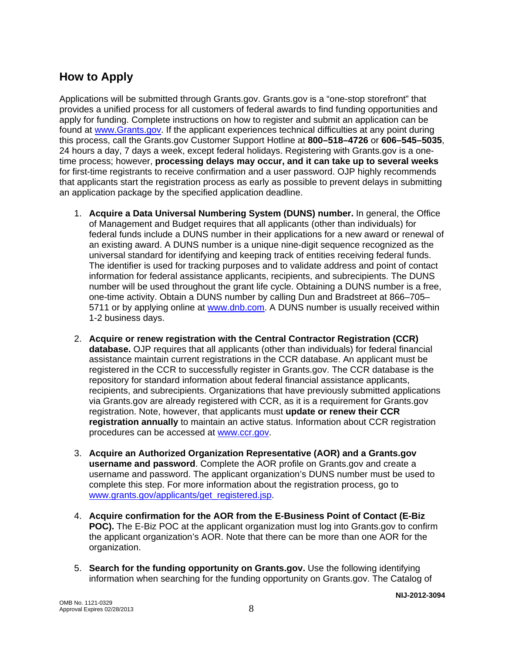# **How to Apply**

Applications will be submitted through Grants.gov. Grants.gov is a "one-stop storefront" that provides a unified process for all customers of federal awards to find funding opportunities and apply for funding. Complete instructions on how to register and submit an application can be found at [www.Grants.gov](http://www.grants.gov/). If the applicant experiences technical difficulties at any point during this process, call the Grants.gov Customer Support Hotline at **800–518–4726** or **606–545–5035**, 24 hours a day, 7 days a week, except federal holidays. Registering with Grants.gov is a onetime process; however, **processing delays may occur, and it can take up to several weeks** for first-time registrants to receive confirmation and a user password. OJP highly recommends that applicants start the registration process as early as possible to prevent delays in submitting an application package by the specified application deadline.

- 1. **Acquire a Data Universal Numbering System (DUNS) number.** In general, the Office of Management and Budget requires that all applicants (other than individuals) for federal funds include a DUNS number in their applications for a new award or renewal of an existing award. A DUNS number is a unique nine-digit sequence recognized as the universal standard for identifying and keeping track of entities receiving federal funds. The identifier is used for tracking purposes and to validate address and point of contact information for federal assistance applicants, recipients, and subrecipients. The DUNS number will be used throughout the grant life cycle. Obtaining a DUNS number is a free, one-time activity. Obtain a DUNS number by calling Dun and Bradstreet at 866–705– 5711 or by applying online at [www.dnb.com.](http://www.dnb.com/) A DUNS number is usually received within 1-2 business days.
- 2. **Acquire or renew registration with the Central Contractor Registration (CCR) database.** OJP requires that all applicants (other than individuals) for federal financial assistance maintain current registrations in the CCR database. An applicant must be registered in the CCR to successfully register in Grants.gov. The CCR database is the repository for standard information about federal financial assistance applicants, recipients, and subrecipients. Organizations that have previously submitted applications via Grants.gov are already registered with CCR, as it is a requirement for Grants.gov registration. Note, however, that applicants must **update or renew their CCR registration annually** to maintain an active status. Information about CCR registration procedures can be accessed at [www.ccr.gov](http://www.ccr.gov/).
- 3. **Acquire an Authorized Organization Representative (AOR) and a Grants.gov username and password**. Complete the AOR profile on Grants.gov and create a username and password. The applicant organization's DUNS number must be used to complete this step. For more information about the registration process, go to [www.grants.gov/applicants/get\\_registered.jsp](http://www.grants.gov/applicants/get_registered.jsp).
- 4. **Acquire confirmation for the AOR from the E-Business Point of Contact (E-Biz POC).** The E-Biz POC at the applicant organization must log into Grants.gov to confirm the applicant organization's AOR. Note that there can be more than one AOR for the organization.
- 5. **Search for the funding opportunity on Grants.gov.** Use the following identifying information when searching for the funding opportunity on Grants.gov. The Catalog of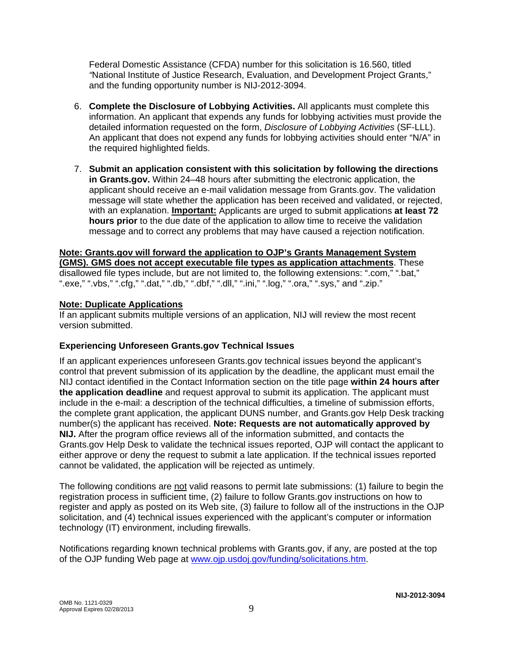Federal Domestic Assistance (CFDA) number for this solicitation is 16.560, titled *"*National Institute of Justice Research, Evaluation, and Development Project Grants," and the funding opportunity number is NIJ-2012-3094.

- 6. **Complete the Disclosure of Lobbying Activities.** All applicants must complete this information. An applicant that expends any funds for lobbying activities must provide the detailed information requested on the form, *Disclosure of Lobbying Activities* (SF-LLL). An applicant that does not expend any funds for lobbying activities should enter "N/A" in the required highlighted fields.
- 7. **Submit an application consistent with this solicitation by following the directions in Grants.gov.** Within 24–48 hours after submitting the electronic application, the applicant should receive an e-mail validation message from Grants.gov. The validation message will state whether the application has been received and validated, or rejected, with an explanation. **Important:** Applicants are urged to submit applications **at least 72 hours prior** to the due date of the application to allow time to receive the validation message and to correct any problems that may have caused a rejection notification.

**Note: Grants.gov will forward the application to OJP's Grants Management System (GMS). GMS does not accept executable file types as application attachments**. These disallowed file types include, but are not limited to, the following extensions: ".com," ".bat," ".exe," ".vbs," ".cfg," ".dat," ".db," ".dbf," ".dll," ".ini," ".log," ".ora," ".sys," and ".zip."

#### **Note: Duplicate Applications**

If an applicant submits multiple versions of an application, NIJ will review the most recent version submitted.

### **Experiencing Unforeseen Grants.gov Technical Issues**

If an applicant experiences unforeseen Grants.gov technical issues beyond the applicant's control that prevent submission of its application by the deadline, the applicant must email the NIJ contact identified in the Contact Information section on the title page **within 24 hours after the application deadline** and request approval to submit its application. The applicant must include in the e-mail: a description of the technical difficulties, a timeline of submission efforts, the complete grant application, the applicant DUNS number, and Grants.gov Help Desk tracking number(s) the applicant has received. **Note: Requests are not automatically approved by NIJ.** After the program office reviews all of the information submitted, and contacts the Grants.gov Help Desk to validate the technical issues reported, OJP will contact the applicant to either approve or deny the request to submit a late application. If the technical issues reported cannot be validated, the application will be rejected as untimely.

The following conditions are not valid reasons to permit late submissions: (1) failure to begin the registration process in sufficient time, (2) failure to follow Grants.gov instructions on how to register and apply as posted on its Web site, (3) failure to follow all of the instructions in the OJP solicitation, and (4) technical issues experienced with the applicant's computer or information technology (IT) environment, including firewalls.

Notifications regarding known technical problems with Grants.gov, if any, are posted at the top of the OJP funding Web page at [www.ojp.usdoj.gov/funding/solicitations.htm.](http://www.ojp.gov/funding/solicitations.htm)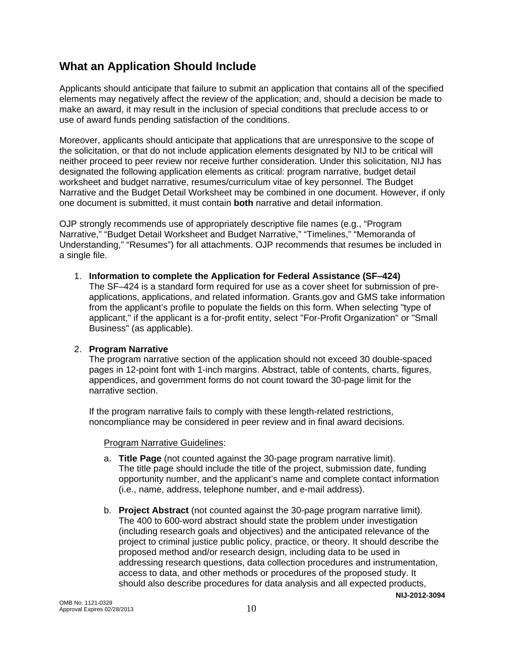## **What an Application Should Include**

Applicants should anticipate that failure to submit an application that contains all of the specified elements may negatively affect the review of the application; and, should a decision be made to make an award, it may result in the inclusion of special conditions that preclude access to or use of award funds pending satisfaction of the conditions.

Moreover, applicants should anticipate that applications that are unresponsive to the scope of the solicitation, or that do not include application elements designated by NIJ to be critical will neither proceed to peer review nor receive further consideration. Under this solicitation, NIJ has designated the following application elements as critical: program narrative, budget detail worksheet and budget narrative, resumes/curriculum vitae of key personnel. The Budget Narrative and the Budget Detail Worksheet may be combined in one document. However, if only one document is submitted, it must contain **both** narrative and detail information.

OJP strongly recommends use of appropriately descriptive file names (e.g., "Program Narrative," "Budget Detail Worksheet and Budget Narrative," "Timelines," "Memoranda of Understanding," "Resumes") for all attachments. OJP recommends that resumes be included in a single file.

### 1. **Information to complete the Application for Federal Assistance (SF–424)**

The SF–424 is a standard form required for use as a cover sheet for submission of preapplications, applications, and related information. Grants.gov and GMS take information from the applicant's profile to populate the fields on this form. When selecting "type of applicant," if the applicant is a for-profit entity, select "For-Profit Organization" or "Small Business" (as applicable).

### 2. **Program Narrative**

The program narrative section of the application should not exceed 30 double-spaced pages in 12-point font with 1-inch margins. Abstract, table of contents, charts, figures, appendices, and government forms do not count toward the 30-page limit for the narrative section.

If the program narrative fails to comply with these length-related restrictions, noncompliance may be considered in peer review and in final award decisions.

### Program Narrative Guidelines:

- a. **Title Page** (not counted against the 30-page program narrative limit). The title page should include the title of the project, submission date, funding opportunity number, and the applicant's name and complete contact information (i.e., name, address, telephone number, and e-mail address).
- **NIJ-2012-3094** b. **Project Abstract** (not counted against the 30-page program narrative limit). The 400 to 600-word abstract should state the problem under investigation (including research goals and objectives) and the anticipated relevance of the project to criminal justice public policy, practice, or theory. It should describe the proposed method and/or research design, including data to be used in addressing research questions, data collection procedures and instrumentation, access to data, and other methods or procedures of the proposed study. It should also describe procedures for data analysis and all expected products,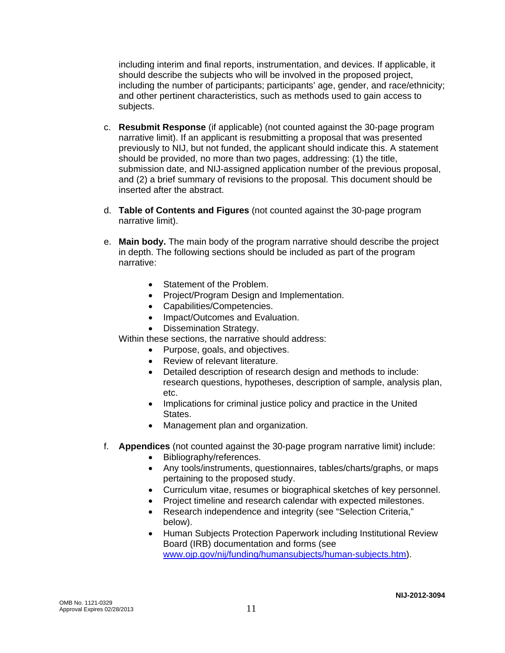including interim and final reports, instrumentation, and devices. If applicable, it should describe the subjects who will be involved in the proposed project, including the number of participants; participants' age, gender, and race/ethnicity; and other pertinent characteristics, such as methods used to gain access to subjects.

- c. **Resubmit Response** (if applicable) (not counted against the 30-page program narrative limit). If an applicant is resubmitting a proposal that was presented previously to NIJ, but not funded, the applicant should indicate this. A statement should be provided, no more than two pages, addressing: (1) the title, submission date, and NIJ-assigned application number of the previous proposal, and (2) a brief summary of revisions to the proposal. This document should be inserted after the abstract.
- d. **Table of Contents and Figures** (not counted against the 30-page program narrative limit).
- e. **Main body.** The main body of the program narrative should describe the project in depth. The following sections should be included as part of the program narrative:
	- Statement of the Problem.
	- Project/Program Design and Implementation.
	- Capabilities/Competencies.
	- Impact/Outcomes and Evaluation.
	- Dissemination Strategy.

Within these sections, the narrative should address:

- Purpose, goals, and objectives.
- Review of relevant literature.
- Detailed description of research design and methods to include: research questions, hypotheses, description of sample, analysis plan, etc.
- Implications for criminal justice policy and practice in the United States.
- Management plan and organization.
- f. **Appendices** (not counted against the 30-page program narrative limit) include:
	- Bibliography/references.
	- Any tools/instruments, questionnaires, tables/charts/graphs, or maps pertaining to the proposed study.
	- Curriculum vitae, resumes or biographical sketches of key personnel.
	- Project timeline and research calendar with expected milestones.
	- Research independence and integrity (see "Selection Criteria," below).
	- Human Subjects Protection Paperwork including Institutional Review Board (IRB) documentation and forms (see [www.ojp.gov/nij/funding/humansubjects/human-subjects.htm\)](http://www.ojp.gov/nij/funding/humansubjects/human-subjects.htm).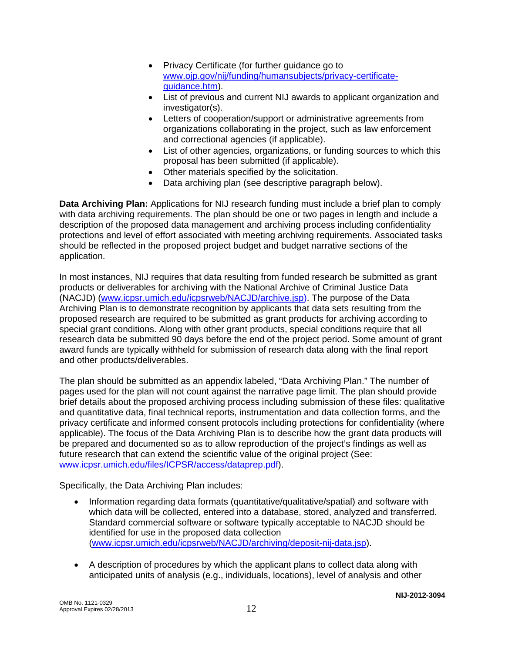- Privacy Certificate (for further guidance go to [www.ojp.gov/nij/funding/humansubjects/privacy-certificate](http://www.ojp.gov/nij/funding/humansubjects/privacy-certificate-guidance.htm)[guidance.htm](http://www.ojp.gov/nij/funding/humansubjects/privacy-certificate-guidance.htm)).
- List of previous and current NIJ awards to applicant organization and investigator(s).
- Letters of cooperation/support or administrative agreements from organizations collaborating in the project, such as law enforcement and correctional agencies (if applicable).
- List of other agencies, organizations, or funding sources to which this proposal has been submitted (if applicable).
- Other materials specified by the solicitation.
- Data archiving plan (see descriptive paragraph below).

**Data Archiving Plan:** Applications for NIJ research funding must include a brief plan to comply with data archiving requirements. The plan should be one or two pages in length and include a description of the proposed data management and archiving process including confidentiality protections and level of effort associated with meeting archiving requirements. Associated tasks should be reflected in the proposed project budget and budget narrative sections of the application.

In most instances, NIJ requires that data resulting from funded research be submitted as grant products or deliverables for archiving with the National Archive of Criminal Justice Data (NACJD) ([www.icpsr.umich.edu/icpsrweb/NACJD/archive.jsp](http://www.icpsr.umich.edu/icpsrweb/NACJD/archive.jsp)). The purpose of the Data Archiving Plan is to demonstrate recognition by applicants that data sets resulting from the proposed research are required to be submitted as grant products for archiving according to special grant conditions. Along with other grant products, special conditions require that all research data be submitted 90 days before the end of the project period. Some amount of grant award funds are typically withheld for submission of research data along with the final report and other products/deliverables.

The plan should be submitted as an appendix labeled, "Data Archiving Plan." The number of pages used for the plan will not count against the narrative page limit. The plan should provide brief details about the proposed archiving process including submission of these files: qualitative and quantitative data, final technical reports, instrumentation and data collection forms, and the privacy certificate and informed consent protocols including protections for confidentiality (where applicable). The focus of the Data Archiving Plan is to describe how the grant data products will be prepared and documented so as to allow reproduction of the project's findings as well as future research that can extend the scientific value of the original project (See: [www.icpsr.umich.edu/files/ICPSR/access/dataprep.pdf](http://www.icpsr.umich.edu/files/ICPSR/access/dataprep.pdf)).

Specifically, the Data Archiving Plan includes:

- Information regarding data formats (quantitative/qualitative/spatial) and software with which data will be collected, entered into a database, stored, analyzed and transferred. Standard commercial software or software typically acceptable to NACJD should be identified for use in the proposed data collection ([www.icpsr.umich.edu/icpsrweb/NACJD/archiving/deposit-nij-data.jsp](http://www.icpsr.umich.edu/icpsrweb/NACJD/archiving/deposit-nij-data.jsp)).
- A description of procedures by which the applicant plans to collect data along with anticipated units of analysis (e.g., individuals, locations), level of analysis and other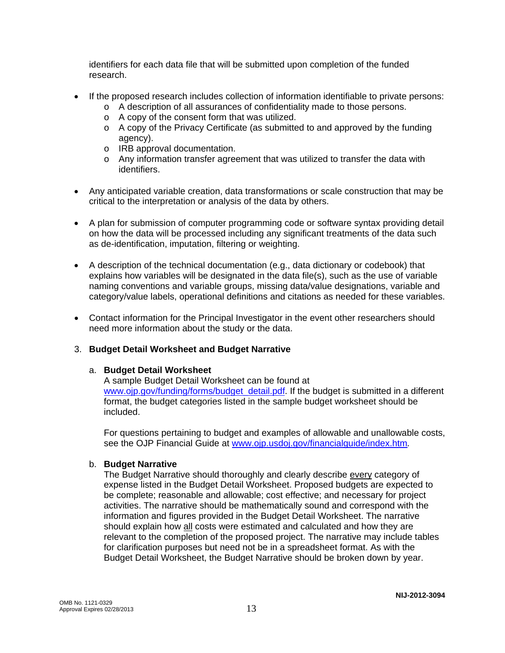identifiers for each data file that will be submitted upon completion of the funded research.

- If the proposed research includes collection of information identifiable to private persons:
	- o A description of all assurances of confidentiality made to those persons.
	- o A copy of the consent form that was utilized.
	- o A copy of the Privacy Certificate (as submitted to and approved by the funding agency).
	- o IRB approval documentation.
	- o Any information transfer agreement that was utilized to transfer the data with identifiers.
- Any anticipated variable creation, data transformations or scale construction that may be critical to the interpretation or analysis of the data by others.
- A plan for submission of computer programming code or software syntax providing detail on how the data will be processed including any significant treatments of the data such as de-identification, imputation, filtering or weighting.
- A description of the technical documentation (e.g., data dictionary or codebook) that explains how variables will be designated in the data file(s), such as the use of variable naming conventions and variable groups, missing data/value designations, variable and category/value labels, operational definitions and citations as needed for these variables.
- Contact information for the Principal Investigator in the event other researchers should need more information about the study or the data.

### 3. **Budget Detail Worksheet and Budget Narrative**

### a. **Budget Detail Worksheet**

A sample Budget Detail Worksheet can be found at [www.ojp.gov/funding/forms/budget\\_detail.pdf.](http://www.ojp.gov/funding/forms/budget_detail.pdf) If the budget is submitted in a different format, the budget categories listed in the sample budget worksheet should be included.

For questions pertaining to budget and examples of allowable and unallowable costs, see the OJP Financial Guide at [www.ojp.usdoj.gov/financialguide/index.htm](http://www.ojp.usdoj.gov/financialguide/index.htm)*.* 

### b. **Budget Narrative**

The Budget Narrative should thoroughly and clearly describe every category of expense listed in the Budget Detail Worksheet. Proposed budgets are expected to be complete; reasonable and allowable; cost effective; and necessary for project activities. The narrative should be mathematically sound and correspond with the information and figures provided in the Budget Detail Worksheet. The narrative should explain how all costs were estimated and calculated and how they are relevant to the completion of the proposed project. The narrative may include tables for clarification purposes but need not be in a spreadsheet format. As with the Budget Detail Worksheet, the Budget Narrative should be broken down by year.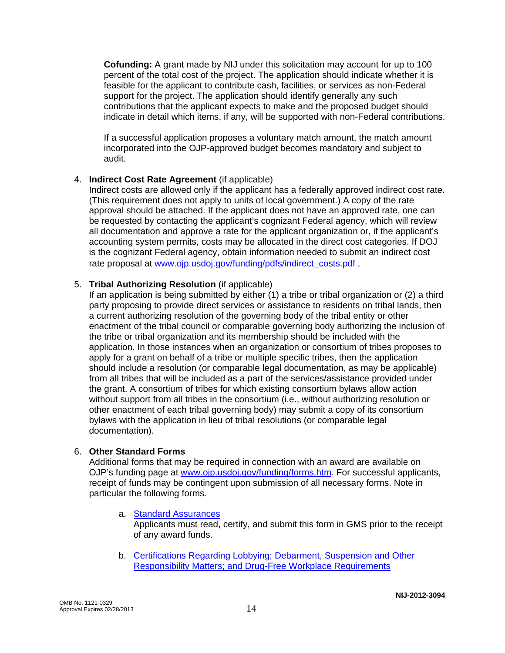**Cofunding:** A grant made by NIJ under this solicitation may account for up to 100 percent of the total cost of the project. The application should indicate whether it is feasible for the applicant to contribute cash, facilities, or services as non-Federal support for the project. The application should identify generally any such contributions that the applicant expects to make and the proposed budget should indicate in detail which items, if any, will be supported with non-Federal contributions.

If a successful application proposes a voluntary match amount, the match amount incorporated into the OJP-approved budget becomes mandatory and subject to audit.

### 4. **Indirect Cost Rate Agreement** (if applicable)

Indirect costs are allowed only if the applicant has a federally approved indirect cost rate. (This requirement does not apply to units of local government.) A copy of the rate approval should be attached. If the applicant does not have an approved rate, one can be requested by contacting the applicant's cognizant Federal agency, which will review all documentation and approve a rate for the applicant organization or, if the applicant's accounting system permits, costs may be allocated in the direct cost categories. If DOJ is the cognizant Federal agency, obtain information needed to submit an indirect cost rate proposal at [www.ojp.usdoj.gov/funding/pdfs/indirect\\_costs.pdf](http://www.ojp.usdoj.gov/funding/pdfs/indirect_costs.pdf).

### 5. **Tribal Authorizing Resolution** (if applicable)

If an application is being submitted by either (1) a tribe or tribal organization or (2) a third party proposing to provide direct services or assistance to residents on tribal lands, then a current authorizing resolution of the governing body of the tribal entity or other enactment of the tribal council or comparable governing body authorizing the inclusion of the tribe or tribal organization and its membership should be included with the application. In those instances when an organization or consortium of tribes proposes to apply for a grant on behalf of a tribe or multiple specific tribes, then the application should include a resolution (or comparable legal documentation, as may be applicable) from all tribes that will be included as a part of the services/assistance provided under the grant. A consortium of tribes for which existing consortium bylaws allow action without support from all tribes in the consortium (i.e., without authorizing resolution or other enactment of each tribal governing body) may submit a copy of its consortium bylaws with the application in lieu of tribal resolutions (or comparable legal documentation).

### 6. **Other Standard Forms**

Additional forms that may be required in connection with an award are available on OJP's funding page at [www.ojp.usdoj.gov/funding/forms.htm](http://www.ojp.usdoj.gov/funding/forms.htm). For successful applicants, receipt of funds may be contingent upon submission of all necessary forms. Note in particular the following forms.

### a. [Standard Assurances](http://www.ojp.usdoj.gov/funding/forms/std_assurances.pdf)

Applicants must read, certify, and submit this form in GMS prior to the receipt of any award funds.

b. [Certifications Regarding Lobbying; Debarment, Suspension and Other](http://www.ojp.usdoj.gov/funding/forms/certifications.pdf)  [Responsibility Matters; and Drug-Free Workplace Requirements](http://www.ojp.usdoj.gov/funding/forms/certifications.pdf)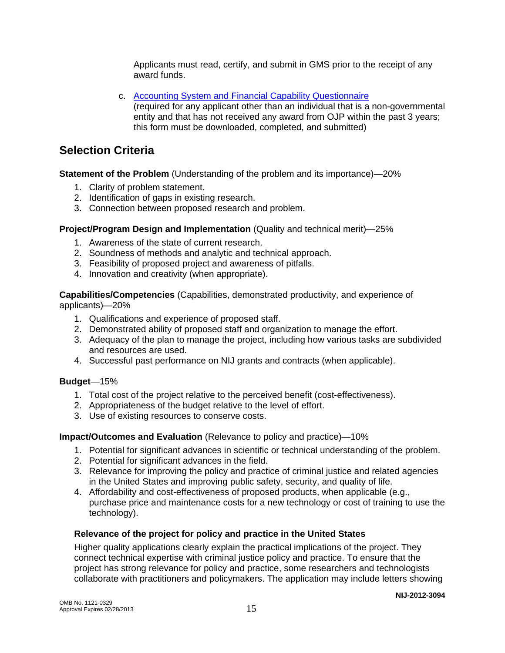Applicants must read, certify, and submit in GMS prior to the receipt of any award funds.

c. [Accounting System and Financial Capability Questionnaire](http://www.ojp.usdoj.gov/funding/forms/financial_capability.pdf) (required for any applicant other than an individual that is a non-governmental entity and that has not received any award from OJP within the past 3 years; this form must be downloaded, completed, and submitted)

# **Selection Criteria**

**Statement of the Problem** (Understanding of the problem and its importance)—20%

- 1. Clarity of problem statement.
- 2. Identification of gaps in existing research.
- 3. Connection between proposed research and problem.

### **Project/Program Design and Implementation** (Quality and technical merit)—25%

- 1. Awareness of the state of current research.
- 2. Soundness of methods and analytic and technical approach.
- 3. Feasibility of proposed project and awareness of pitfalls.
- 4. Innovation and creativity (when appropriate).

**Capabilities/Competencies** (Capabilities, demonstrated productivity, and experience of applicants)—20%

- 1. Qualifications and experience of proposed staff.
- 2. Demonstrated ability of proposed staff and organization to manage the effort.
- 3. Adequacy of the plan to manage the project, including how various tasks are subdivided and resources are used.
- 4. Successful past performance on NIJ grants and contracts (when applicable).

### **Budget**—15%

- 1. Total cost of the project relative to the perceived benefit (cost-effectiveness).
- 2. Appropriateness of the budget relative to the level of effort.
- 3. Use of existing resources to conserve costs.

### **Impact/Outcomes and Evaluation** (Relevance to policy and practice)—10%

- 1. Potential for significant advances in scientific or technical understanding of the problem.
- 2. Potential for significant advances in the field.
- 3. Relevance for improving the policy and practice of criminal justice and related agencies in the United States and improving public safety, security, and quality of life.
- 4. Affordability and cost-effectiveness of proposed products, when applicable (e.g., purchase price and maintenance costs for a new technology or cost of training to use the technology).

### **Relevance of the project for policy and practice in the United States**

Higher quality applications clearly explain the practical implications of the project. They connect technical expertise with criminal justice policy and practice. To ensure that the project has strong relevance for policy and practice, some researchers and technologists collaborate with practitioners and policymakers. The application may include letters showing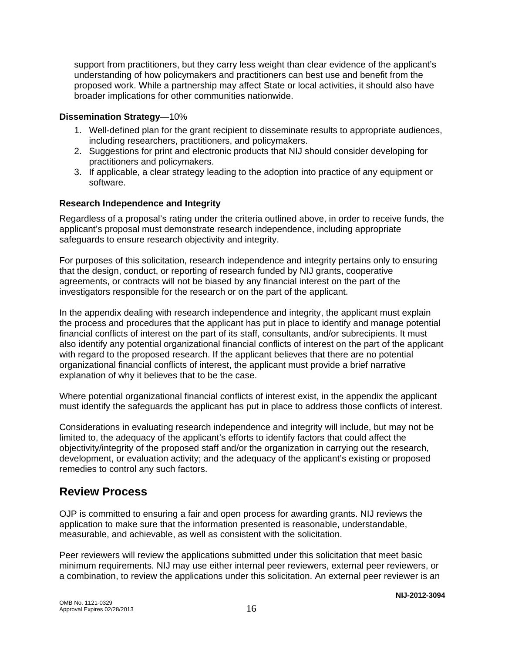support from practitioners, but they carry less weight than clear evidence of the applicant's understanding of how policymakers and practitioners can best use and benefit from the proposed work. While a partnership may affect State or local activities, it should also have broader implications for other communities nationwide.

### **Dissemination Strategy**—10%

- 1. Well-defined plan for the grant recipient to disseminate results to appropriate audiences, including researchers, practitioners, and policymakers.
- 2. Suggestions for print and electronic products that NIJ should consider developing for practitioners and policymakers.
- 3. If applicable, a clear strategy leading to the adoption into practice of any equipment or software.

### **Research Independence and Integrity**

Regardless of a proposal's rating under the criteria outlined above, in order to receive funds, the applicant's proposal must demonstrate research independence, including appropriate safeguards to ensure research objectivity and integrity.

For purposes of this solicitation, research independence and integrity pertains only to ensuring that the design, conduct, or reporting of research funded by NIJ grants, cooperative agreements, or contracts will not be biased by any financial interest on the part of the investigators responsible for the research or on the part of the applicant.

In the appendix dealing with research independence and integrity, the applicant must explain the process and procedures that the applicant has put in place to identify and manage potential financial conflicts of interest on the part of its staff, consultants, and/or subrecipients. It must also identify any potential organizational financial conflicts of interest on the part of the applicant with regard to the proposed research. If the applicant believes that there are no potential organizational financial conflicts of interest, the applicant must provide a brief narrative explanation of why it believes that to be the case.

Where potential organizational financial conflicts of interest exist, in the appendix the applicant must identify the safeguards the applicant has put in place to address those conflicts of interest.

Considerations in evaluating research independence and integrity will include, but may not be limited to, the adequacy of the applicant's efforts to identify factors that could affect the objectivity/integrity of the proposed staff and/or the organization in carrying out the research, development, or evaluation activity; and the adequacy of the applicant's existing or proposed remedies to control any such factors.

### **Review Process**

OJP is committed to ensuring a fair and open process for awarding grants. NIJ reviews the application to make sure that the information presented is reasonable, understandable, measurable, and achievable, as well as consistent with the solicitation.

Peer reviewers will review the applications submitted under this solicitation that meet basic minimum requirements. NIJ may use either internal peer reviewers, external peer reviewers, or a combination, to review the applications under this solicitation. An external peer reviewer is an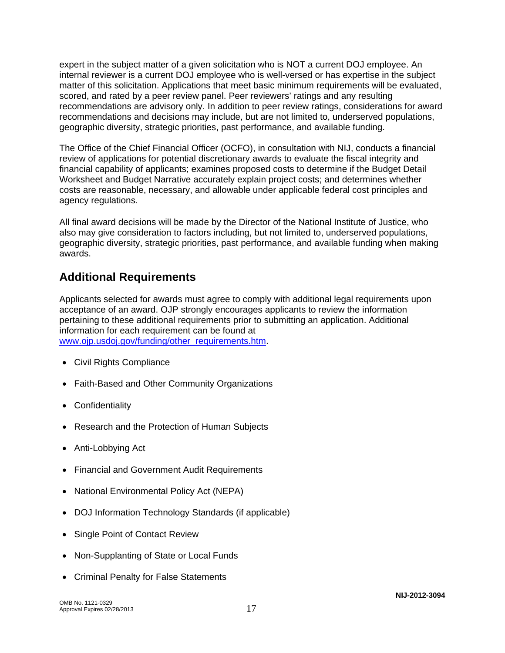expert in the subject matter of a given solicitation who is NOT a current DOJ employee. An internal reviewer is a current DOJ employee who is well-versed or has expertise in the subject matter of this solicitation. Applications that meet basic minimum requirements will be evaluated, scored, and rated by a peer review panel. Peer reviewers' ratings and any resulting recommendations are advisory only. In addition to peer review ratings, considerations for award recommendations and decisions may include, but are not limited to, underserved populations, geographic diversity, strategic priorities, past performance, and available funding.

The Office of the Chief Financial Officer (OCFO), in consultation with NIJ, conducts a financial review of applications for potential discretionary awards to evaluate the fiscal integrity and financial capability of applicants; examines proposed costs to determine if the Budget Detail Worksheet and Budget Narrative accurately explain project costs; and determines whether costs are reasonable, necessary, and allowable under applicable federal cost principles and agency regulations.

All final award decisions will be made by the Director of the National Institute of Justice, who also may give consideration to factors including, but not limited to, underserved populations, geographic diversity, strategic priorities, past performance, and available funding when making awards.

## **Additional Requirements**

Applicants selected for awards must agree to comply with additional legal requirements upon acceptance of an award. OJP strongly encourages applicants to review the information pertaining to these additional requirements prior to submitting an application. Additional information for each requirement can be found at [www.ojp.usdoj.gov/funding/other\\_requirements.htm.](http://www.ojp.usdoj.gov/funding/other_requirements.htm)

- Civil Rights Compliance
- Faith-Based and Other Community Organizations
- Confidentiality
- Research and the Protection of Human Subjects
- Anti-Lobbying Act
- Financial and Government Audit Requirements
- National Environmental Policy Act (NEPA)
- DOJ Information Technology Standards (if applicable)
- Single Point of Contact Review
- Non-Supplanting of State or Local Funds
- Criminal Penalty for False Statements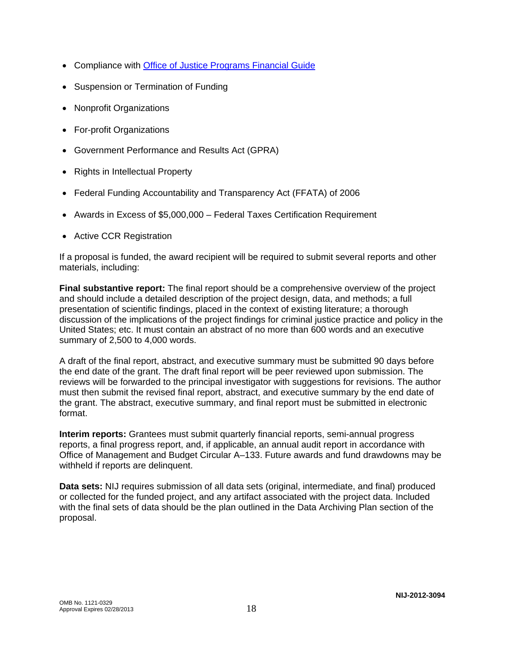- Compliance with [Office of Justice Programs Financial Guide](http://www.ojp.usdoj.gov/financialguide/index.htm)
- Suspension or Termination of Funding
- Nonprofit Organizations
- For-profit Organizations
- Government Performance and Results Act (GPRA)
- Rights in Intellectual Property
- Federal Funding Accountability and Transparency Act (FFATA) of 2006
- Awards in Excess of \$5,000,000 Federal Taxes Certification Requirement
- Active CCR Registration

If a proposal is funded, the award recipient will be required to submit several reports and other materials, including:

**Final substantive report:** The final report should be a comprehensive overview of the project and should include a detailed description of the project design, data, and methods; a full presentation of scientific findings, placed in the context of existing literature; a thorough discussion of the implications of the project findings for criminal justice practice and policy in the United States; etc. It must contain an abstract of no more than 600 words and an executive summary of 2,500 to 4,000 words.

A draft of the final report, abstract, and executive summary must be submitted 90 days before the end date of the grant. The draft final report will be peer reviewed upon submission. The reviews will be forwarded to the principal investigator with suggestions for revisions. The author must then submit the revised final report, abstract, and executive summary by the end date of the grant. The abstract, executive summary, and final report must be submitted in electronic format.

**Interim reports:** Grantees must submit quarterly financial reports, semi-annual progress reports, a final progress report, and, if applicable, an annual audit report in accordance with Office of Management and Budget Circular A–133. Future awards and fund drawdowns may be withheld if reports are delinquent.

**Data sets:** NIJ requires submission of all data sets (original, intermediate, and final) produced or collected for the funded project, and any artifact associated with the project data. Included with the final sets of data should be the plan outlined in the Data Archiving Plan section of the proposal.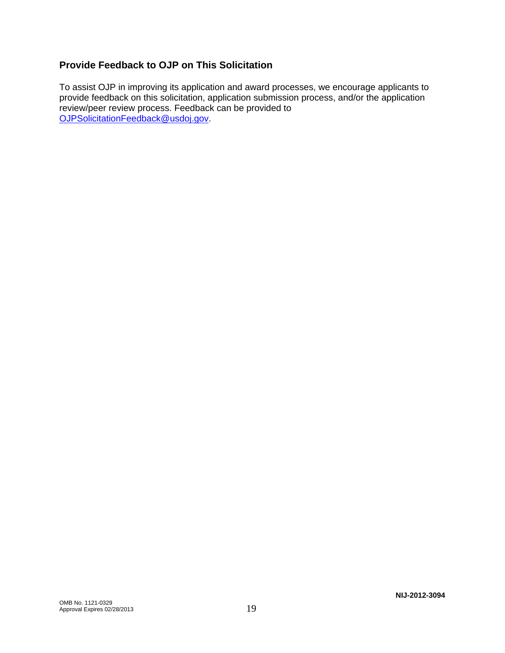### **Provide Feedback to OJP on This Solicitation**

To assist OJP in improving its application and award processes, we encourage applicants to provide feedback on this solicitation, application submission process, and/or the application review/peer review process. Feedback can be provided to [OJPSolicitationFeedback@usdoj.gov](mailto:OJPSolicitationFeedback@usdoj.gov).